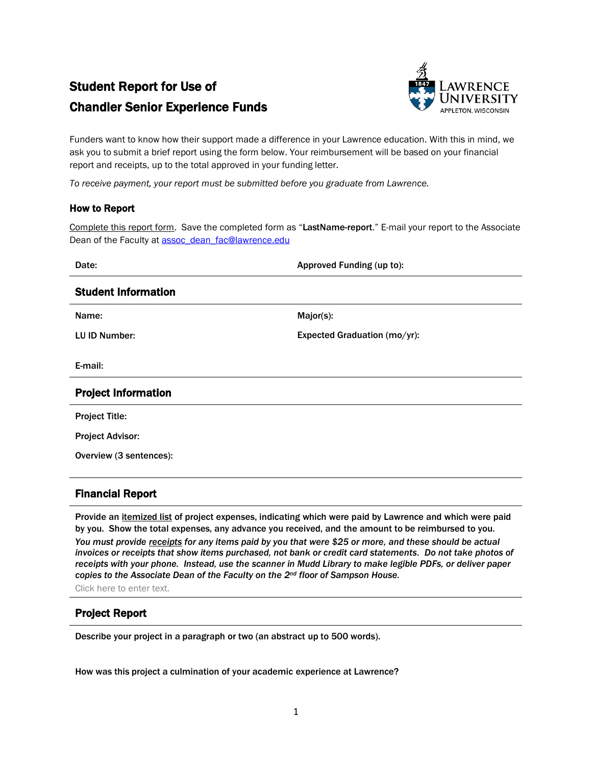## Student Report for Use of Chandler Senior Experience Funds



Funders want to know how their support made a difference in your Lawrence education. With this in mind, we ask you to submit a brief report using the form below. Your reimbursement will be based on your financial report and receipts, up to the total approved in your funding letter.

*To receive payment, your report must be submitted before you graduate from Lawrence.*

## How to Report

Complete this report form. Save the completed form as "LastName-report." E-mail your report to the Associate Dean of the Faculty at [assoc\\_dean\\_fac@lawrence.edu](mailto:assoc_dean_fac@lawrence.edu)

| Date:                      | Approved Funding (up to):    |
|----------------------------|------------------------------|
| <b>Student Information</b> |                              |
| Name:                      | Major(s):                    |
| LU ID Number:              | Expected Graduation (mo/yr): |
| E-mail:                    |                              |
| <b>Project Information</b> |                              |
| <b>Project Title:</b>      |                              |
| <b>Project Advisor:</b>    |                              |
| Overview (3 sentences):    |                              |
|                            |                              |

## Financial Report

Provide an itemized list of project expenses, indicating which were paid by Lawrence and which were paid by you. Show the total expenses, any advance you received, and the amount to be reimbursed to you.

*You must provide receipts for any items paid by you that were \$25 or more, and these should be actual invoices or receipts that show items purchased, not bank or credit card statements. Do not take photos of receipts with your phone. Instead, use the scanner in Mudd Library to make legible PDFs, or deliver paper copies to the Associate Dean of the Faculty on the 2nd floor of Sampson House.* 

Click here to enter text.

## Project Report

Describe your project in a paragraph or two (an abstract up to 500 words).

How was this project a culmination of your academic experience at Lawrence?